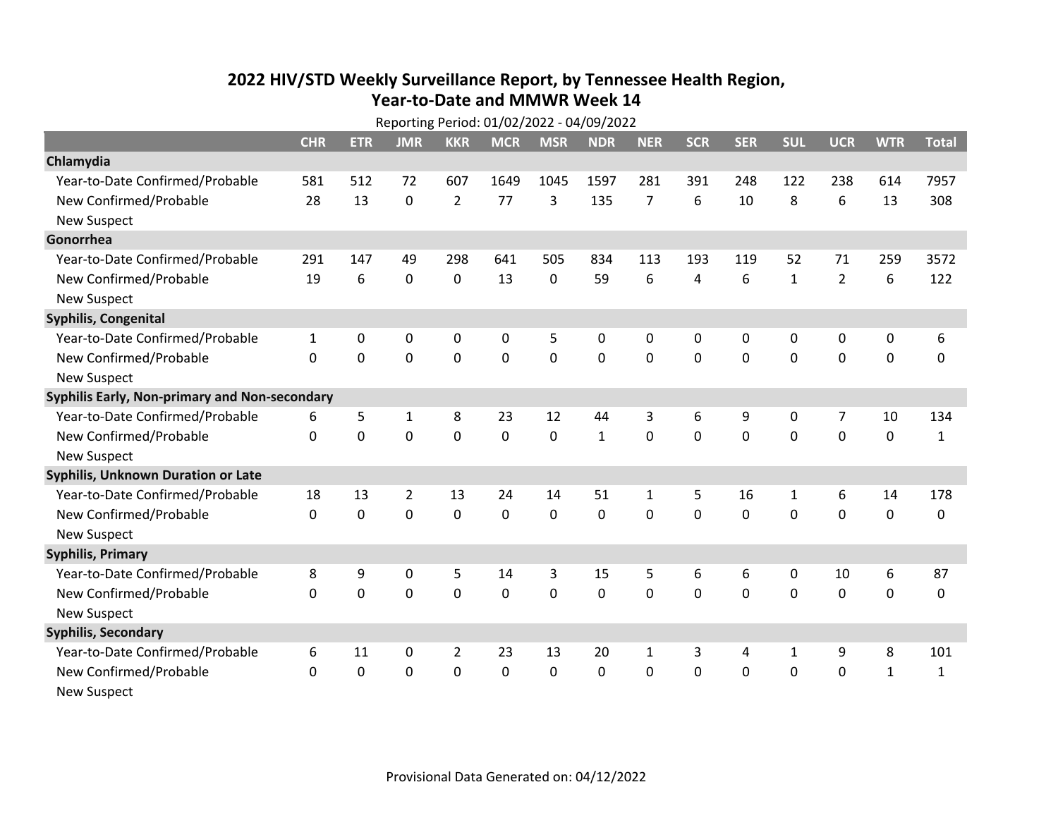## **2022 HIV /STD Weekl y Surveillance Report, b y Tennessee Health Region, Year‐to‐Date and MMWR Week 14**

| Reporting Period: 01/02/2022 - 04/09/2022     |              |             |              |                |              |              |              |                |            |              |              |                |              |              |
|-----------------------------------------------|--------------|-------------|--------------|----------------|--------------|--------------|--------------|----------------|------------|--------------|--------------|----------------|--------------|--------------|
|                                               | <b>CHR</b>   | <b>ETR</b>  | <b>JMR</b>   | <b>KKR</b>     | <b>MCR</b>   | <b>MSR</b>   | <b>NDR</b>   | <b>NER</b>     | <b>SCR</b> | <b>SER</b>   | <b>SUL</b>   | <b>UCR</b>     | <b>WTR</b>   | <b>Total</b> |
| Chlamydia                                     |              |             |              |                |              |              |              |                |            |              |              |                |              |              |
| Year-to-Date Confirmed/Probable               | 581          | 512         | 72           | 607            | 1649         | 1045         | 1597         | 281            | 391        | 248          | 122          | 238            | 614          | 7957         |
| New Confirmed/Probable                        | 28           | 13          | $\Omega$     | $\overline{2}$ | 77           | 3            | 135          | $\overline{7}$ | 6          | 10           | 8            | 6              | 13           | 308          |
| <b>New Suspect</b>                            |              |             |              |                |              |              |              |                |            |              |              |                |              |              |
| Gonorrhea                                     |              |             |              |                |              |              |              |                |            |              |              |                |              |              |
| Year-to-Date Confirmed/Probable               | 291          | 147         | 49           | 298            | 641          | 505          | 834          | 113            | 193        | 119          | 52           | 71             | 259          | 3572         |
| New Confirmed/Probable                        | 19           | 6           | $\mathbf 0$  | 0              | 13           | 0            | 59           | 6              | 4          | 6            | $\mathbf{1}$ | $\overline{2}$ | 6            | 122          |
| <b>New Suspect</b>                            |              |             |              |                |              |              |              |                |            |              |              |                |              |              |
| <b>Syphilis, Congenital</b>                   |              |             |              |                |              |              |              |                |            |              |              |                |              |              |
| Year-to-Date Confirmed/Probable               | $\mathbf{1}$ | 0           | 0            | 0              | 0            | 5            | 0            | $\mathbf{0}$   | 0          | $\mathbf{0}$ | $\mathbf{0}$ | $\mathbf{0}$   | 0            | 6            |
| New Confirmed/Probable                        | $\Omega$     | $\Omega$    | 0            | $\mathbf 0$    | 0            | $\mathbf 0$  | 0            | $\Omega$       | $\Omega$   | 0            | 0            | $\mathbf 0$    | $\mathbf 0$  | 0            |
| <b>New Suspect</b>                            |              |             |              |                |              |              |              |                |            |              |              |                |              |              |
| Syphilis Early, Non-primary and Non-secondary |              |             |              |                |              |              |              |                |            |              |              |                |              |              |
| Year-to-Date Confirmed/Probable               | 6            | 5           | $\mathbf{1}$ | 8              | 23           | 12           | 44           | 3              | 6          | 9            | 0            | 7              | 10           | 134          |
| New Confirmed/Probable                        | $\Omega$     | $\mathbf 0$ | 0            | $\mathbf 0$    | $\mathbf 0$  | $\mathbf 0$  | $\mathbf{1}$ | $\Omega$       | $\Omega$   | 0            | 0            | 0              | $\mathbf 0$  | $\mathbf{1}$ |
| <b>New Suspect</b>                            |              |             |              |                |              |              |              |                |            |              |              |                |              |              |
| <b>Syphilis, Unknown Duration or Late</b>     |              |             |              |                |              |              |              |                |            |              |              |                |              |              |
| Year-to-Date Confirmed/Probable               | 18           | 13          | 2            | 13             | 24           | 14           | 51           | $\mathbf{1}$   | 5          | 16           | $\mathbf{1}$ | 6              | 14           | 178          |
| New Confirmed/Probable                        | $\Omega$     | $\Omega$    | 0            | $\mathbf{0}$   | $\mathbf{0}$ | $\mathbf{0}$ | 0            | $\Omega$       | $\Omega$   | $\mathbf{0}$ | $\mathbf{0}$ | 0              | 0            | 0            |
| <b>New Suspect</b>                            |              |             |              |                |              |              |              |                |            |              |              |                |              |              |
| <b>Syphilis, Primary</b>                      |              |             |              |                |              |              |              |                |            |              |              |                |              |              |
| Year-to-Date Confirmed/Probable               | 8            | 9           | 0            | 5              | 14           | 3            | 15           | 5              | 6          | 6            | 0            | 10             | 6            | 87           |
| New Confirmed/Probable                        | $\Omega$     | $\mathbf 0$ | 0            | 0              | 0            | 0            | 0            | $\Omega$       | $\Omega$   | 0            | $\mathbf{0}$ | 0              | $\mathbf 0$  | 0            |
| <b>New Suspect</b>                            |              |             |              |                |              |              |              |                |            |              |              |                |              |              |
| <b>Syphilis, Secondary</b>                    |              |             |              |                |              |              |              |                |            |              |              |                |              |              |
| Year-to-Date Confirmed/Probable               | 6            | 11          | 0            | $\overline{2}$ | 23           | 13           | 20           | 1              | 3          | 4            | 1            | 9              | 8            | 101          |
| New Confirmed/Probable                        | 0            | 0           | 0            | 0              | 0            | 0            | 0            | 0              | 0          | 0            | 0            | 0              | $\mathbf{1}$ | 1            |
| <b>New Suspect</b>                            |              |             |              |                |              |              |              |                |            |              |              |                |              |              |